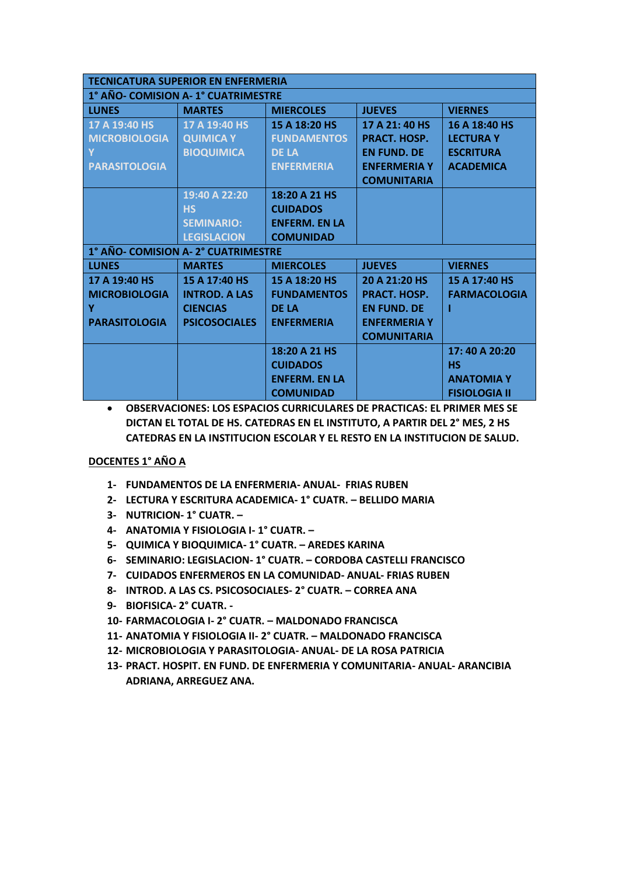| <b>TECNICATURA SUPERIOR EN ENFERMERIA</b> |                      |                      |                     |                      |
|-------------------------------------------|----------------------|----------------------|---------------------|----------------------|
| 1° AÑO- COMISION A-1° CUATRIMESTRE        |                      |                      |                     |                      |
| <b>LUNES</b>                              | <b>MARTES</b>        | <b>MIERCOLES</b>     | <b>JUEVES</b>       | <b>VIERNES</b>       |
| 17 A 19:40 HS                             | 17 A 19:40 HS        | 15 A 18:20 HS        | 17 A 21: 40 HS      | 16 A 18:40 HS        |
| <b>MICROBIOLOGIA</b>                      | <b>QUIMICA Y</b>     | <b>FUNDAMENTOS</b>   | PRACT. HOSP.        | <b>LECTURA Y</b>     |
|                                           | <b>BIOQUIMICA</b>    | <b>DE LA</b>         | <b>EN FUND. DE</b>  | <b>ESCRITURA</b>     |
| <b>PARASITOLOGIA</b>                      |                      | <b>ENFERMERIA</b>    | <b>ENFERMERIA Y</b> | <b>ACADEMICA</b>     |
|                                           |                      |                      | <b>COMUNITARIA</b>  |                      |
|                                           | 19:40 A 22:20        | 18:20 A 21 HS        |                     |                      |
|                                           | <b>HS</b>            | <b>CUIDADOS</b>      |                     |                      |
|                                           | <b>SEMINARIO:</b>    | <b>ENFERM. EN LA</b> |                     |                      |
|                                           | <b>LEGISLACION</b>   | <b>COMUNIDAD</b>     |                     |                      |
| 1° AÑO- COMISION A-2° CUATRIMESTRE        |                      |                      |                     |                      |
| <b>LUNES</b>                              | <b>MARTES</b>        | <b>MIERCOLES</b>     | <b>JUEVES</b>       | <b>VIERNES</b>       |
| 17 A 19:40 HS                             | 15 A 17:40 HS        | 15 A 18:20 HS        | 20 A 21:20 HS       | 15 A 17:40 HS        |
| <b>MICROBIOLOGIA</b>                      | <b>INTROD, A LAS</b> | <b>FUNDAMENTOS</b>   | <b>PRACT. HOSP.</b> | <b>FARMACOLOGIA</b>  |
| Y                                         | <b>CIENCIAS</b>      | <b>DE LA</b>         | <b>EN FUND. DE</b>  |                      |
| <b>PARASITOLOGIA</b>                      | <b>PSICOSOCIALES</b> | <b>ENFERMERIA</b>    | <b>ENFERMERIA Y</b> |                      |
|                                           |                      |                      | <b>COMUNITARIA</b>  |                      |
|                                           |                      | 18:20 A 21 HS        |                     | 17:40 A 20:20        |
|                                           |                      | <b>CUIDADOS</b>      |                     | НS                   |
|                                           |                      | <b>ENFERM. EN LA</b> |                     | <b>ANATOMIAY</b>     |
|                                           |                      | <b>COMUNIDAD</b>     |                     | <b>FISIOLOGIA II</b> |

## **DOCENTES 1° AÑO A**

- **1- FUNDAMENTOS DE LA ENFERMERIA- ANUAL- FRIAS RUBEN**
- **2- LECTURA Y ESCRITURA ACADEMICA- 1° CUATR. – BELLIDO MARIA**
- **3- NUTRICION- 1° CUATR. –**
- **4- ANATOMIA Y FISIOLOGIA I- 1° CUATR. –**
- **5- QUIMICA Y BIOQUIMICA- 1° CUATR. – AREDES KARINA**
- **6- SEMINARIO: LEGISLACION- 1° CUATR. – CORDOBA CASTELLI FRANCISCO**
- **7- CUIDADOS ENFERMEROS EN LA COMUNIDAD- ANUAL- FRIAS RUBEN**
- **8- INTROD. A LAS CS. PSICOSOCIALES- 2° CUATR. – CORREA ANA**
- **9- BIOFISICA- 2° CUATR. -**
- **10- FARMACOLOGIA I- 2° CUATR. – MALDONADO FRANCISCA**
- **11- ANATOMIA Y FISIOLOGIA II- 2° CUATR. – MALDONADO FRANCISCA**
- **12- MICROBIOLOGIA Y PARASITOLOGIA- ANUAL- DE LA ROSA PATRICIA**
- **13- PRACT. HOSPIT. EN FUND. DE ENFERMERIA Y COMUNITARIA- ANUAL- ARANCIBIA ADRIANA, ARREGUEZ ANA.**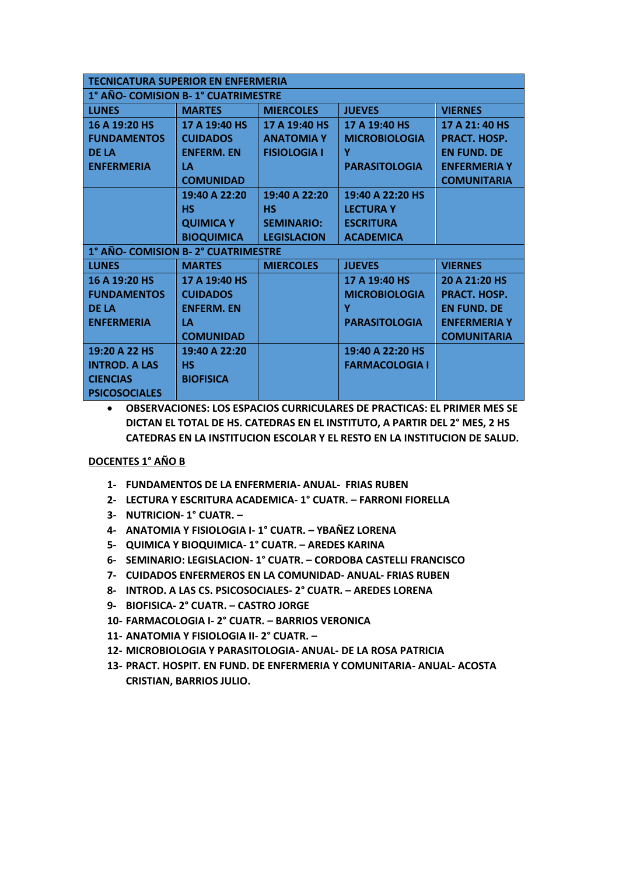| <b>TECNICATURA SUPERIOR EN ENFERMERIA</b> |                   |                     |                       |                     |
|-------------------------------------------|-------------------|---------------------|-----------------------|---------------------|
| 1° AÑO- COMISION B-1° CUATRIMESTRE        |                   |                     |                       |                     |
| <b>LUNES</b>                              | <b>MARTES</b>     | <b>MIERCOLES</b>    | <b>JUEVES</b>         | <b>VIERNES</b>      |
| 16 A 19:20 HS                             | 17 A 19:40 HS     | 17 A 19:40 HS       | 17 A 19:40 HS         | 17 A 21: 40 HS      |
| <b>FUNDAMENTOS</b>                        | <b>CUIDADOS</b>   | <b>ANATOMIAY</b>    | <b>MICROBIOLOGIA</b>  | <b>PRACT. HOSP.</b> |
| <b>DE LA</b>                              | <b>ENFERM. EN</b> | <b>FISIOLOGIA I</b> | Y                     | <b>EN FUND. DE</b>  |
| <b>ENFERMERIA</b>                         | <b>LA</b>         |                     | <b>PARASITOLOGIA</b>  | <b>ENFERMERIA Y</b> |
|                                           | <b>COMUNIDAD</b>  |                     |                       | <b>COMUNITARIA</b>  |
|                                           | 19:40 A 22:20     | 19:40 A 22:20       | 19:40 A 22:20 HS      |                     |
|                                           | <b>HS</b>         | <b>HS</b>           | <b>LECTURA Y</b>      |                     |
|                                           | <b>QUIMICA Y</b>  | <b>SEMINARIO:</b>   | <b>ESCRITURA</b>      |                     |
|                                           | <b>BIOQUIMICA</b> | <b>LEGISLACION</b>  | <b>ACADEMICA</b>      |                     |
| 1° AÑO- COMISION B-2° CUATRIMESTRE        |                   |                     |                       |                     |
| <b>LUNES</b>                              | <b>MARTES</b>     | <b>MIERCOLES</b>    | <b>JUEVES</b>         | <b>VIERNES</b>      |
| 16 A 19:20 HS                             | 17 A 19:40 HS     |                     | 17 A 19:40 HS         | 20 A 21:20 HS       |
| <b>FUNDAMENTOS</b>                        | <b>CUIDADOS</b>   |                     | <b>MICROBIOLOGIA</b>  | <b>PRACT. HOSP.</b> |
| <b>DE LA</b>                              | <b>ENFERM, EN</b> |                     | Y                     | <b>EN FUND. DE</b>  |
| <b>ENFERMERIA</b>                         | LA                |                     | <b>PARASITOLOGIA</b>  | <b>ENFERMERIA Y</b> |
|                                           | <b>COMUNIDAD</b>  |                     |                       | <b>COMUNITARIA</b>  |
| 19:20 A 22 HS                             | 19:40 A 22:20     |                     | 19:40 A 22:20 HS      |                     |
| <b>INTROD, A LAS</b>                      | <b>HS</b>         |                     | <b>FARMACOLOGIA I</b> |                     |
| <b>CIENCIAS</b>                           | <b>BIOFISICA</b>  |                     |                       |                     |
| <b>PSICOSOCIALES</b>                      |                   |                     |                       |                     |

#### **DOCENTES 1° AÑO B**

- **1- FUNDAMENTOS DE LA ENFERMERIA- ANUAL- FRIAS RUBEN**
- **2- LECTURA Y ESCRITURA ACADEMICA- 1° CUATR. – FARRONI FIORELLA**
- **3- NUTRICION- 1° CUATR. –**
- **4- ANATOMIA Y FISIOLOGIA I- 1° CUATR. – YBAÑEZ LORENA**
- **5- QUIMICA Y BIOQUIMICA- 1° CUATR. – AREDES KARINA**
- **6- SEMINARIO: LEGISLACION- 1° CUATR. – CORDOBA CASTELLI FRANCISCO**
- **7- CUIDADOS ENFERMEROS EN LA COMUNIDAD- ANUAL- FRIAS RUBEN**
- **8- INTROD. A LAS CS. PSICOSOCIALES- 2° CUATR. – AREDES LORENA**
- **9- BIOFISICA- 2° CUATR. – CASTRO JORGE**
- **10- FARMACOLOGIA I- 2° CUATR. – BARRIOS VERONICA**
- **11- ANATOMIA Y FISIOLOGIA II- 2° CUATR. –**
- **12- MICROBIOLOGIA Y PARASITOLOGIA- ANUAL- DE LA ROSA PATRICIA**
- **13- PRACT. HOSPIT. EN FUND. DE ENFERMERIA Y COMUNITARIA- ANUAL- ACOSTA CRISTIAN, BARRIOS JULIO.**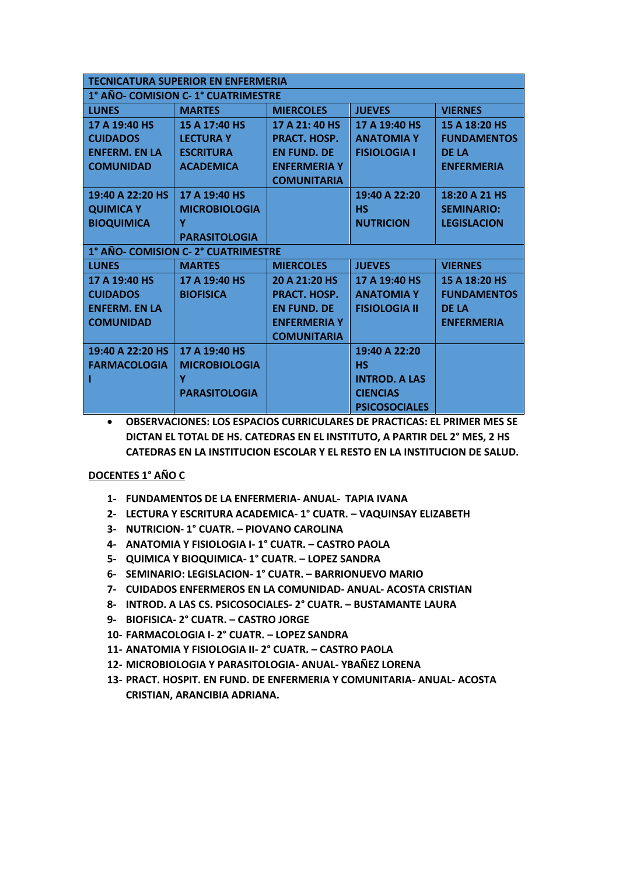| <b>TECNICATURA SUPERIOR EN ENFERMERIA</b> |                                    |                     |                      |                    |  |
|-------------------------------------------|------------------------------------|---------------------|----------------------|--------------------|--|
|                                           | 1° AÑO- COMISION C-1° CUATRIMESTRE |                     |                      |                    |  |
| <b>LUNES</b>                              | <b>MARTES</b>                      | <b>MIERCOLES</b>    | <b>JUEVES</b>        | <b>VIERNES</b>     |  |
| 17 A 19:40 HS                             | 15 A 17:40 HS                      | 17 A 21: 40 HS      | 17 A 19:40 HS        | 15 A 18:20 HS      |  |
| <b>CUIDADOS</b>                           | <b>LECTURA Y</b>                   | <b>PRACT. HOSP.</b> | <b>ANATOMIA Y</b>    | <b>FUNDAMENTOS</b> |  |
| <b>ENFERM, EN LA</b>                      | <b>ESCRITURA</b>                   | <b>EN FUND, DE</b>  | <b>FISIOLOGIA I</b>  | <b>DE LA</b>       |  |
| <b>COMUNIDAD</b>                          | <b>ACADEMICA</b>                   | <b>ENFERMERIA Y</b> |                      | <b>ENFERMERIA</b>  |  |
|                                           |                                    | <b>COMUNITARIA</b>  |                      |                    |  |
| 19:40 A 22:20 HS                          | 17 A 19:40 HS                      |                     | 19:40 A 22:20        | 18:20 A 21 HS      |  |
| <b>QUIMICA Y</b>                          | <b>MICROBIOLOGIA</b>               |                     | <b>HS</b>            | <b>SEMINARIO:</b>  |  |
| <b>BIOQUIMICA</b>                         | Y                                  |                     | <b>NUTRICION</b>     | <b>LEGISLACION</b> |  |
|                                           | <b>PARASITOLOGIA</b>               |                     |                      |                    |  |
|                                           | 1° AÑO- COMISION C-2° CUATRIMESTRE |                     |                      |                    |  |
| <b>LUNES</b>                              | <b>MARTES</b>                      | <b>MIERCOLES</b>    | <b>JUEVES</b>        | <b>VIERNES</b>     |  |
| 17 A 19:40 HS                             | 17 A 19:40 HS                      | 20 A 21:20 HS       | 17 A 19:40 HS        | 15 A 18:20 HS      |  |
| <b>CUIDADOS</b>                           | <b>BIOFISICA</b>                   | <b>PRACT. HOSP.</b> | <b>ANATOMIAY</b>     | <b>FUNDAMENTOS</b> |  |
| <b>ENFERM. EN LA</b>                      |                                    | <b>EN FUND, DE</b>  | <b>FISIOLOGIA II</b> | <b>DE LA</b>       |  |
| <b>COMUNIDAD</b>                          |                                    | <b>ENFERMERIA Y</b> |                      | <b>ENFERMERIA</b>  |  |
|                                           |                                    | <b>COMUNITARIA</b>  |                      |                    |  |
| 19:40 A 22:20 HS                          | 17 A 19:40 HS                      |                     | 19:40 A 22:20        |                    |  |
| <b>FARMACOLOGIA</b>                       | <b>MICROBIOLOGIA</b>               |                     | <b>HS</b>            |                    |  |
|                                           | Υ                                  |                     | <b>INTROD, A LAS</b> |                    |  |
|                                           | <b>PARASITOLOGIA</b>               |                     | <b>CIENCIAS</b>      |                    |  |
|                                           |                                    |                     | <b>PSICOSOCIALES</b> |                    |  |

## **DOCENTES 1° AÑO C**

- **1- FUNDAMENTOS DE LA ENFERMERIA- ANUAL- TAPIA IVANA**
- **2- LECTURA Y ESCRITURA ACADEMICA- 1° CUATR. – VAQUINSAY ELIZABETH**
- **3- NUTRICION- 1° CUATR. – PIOVANO CAROLINA**
- **4- ANATOMIA Y FISIOLOGIA I- 1° CUATR. – CASTRO PAOLA**
- **5- QUIMICA Y BIOQUIMICA- 1° CUATR. – LOPEZ SANDRA**
- **6- SEMINARIO: LEGISLACION- 1° CUATR. – BARRIONUEVO MARIO**
- **7- CUIDADOS ENFERMEROS EN LA COMUNIDAD- ANUAL- ACOSTA CRISTIAN**
- **8- INTROD. A LAS CS. PSICOSOCIALES- 2° CUATR. – BUSTAMANTE LAURA**
- **9- BIOFISICA- 2° CUATR. – CASTRO JORGE**
- **10- FARMACOLOGIA I- 2° CUATR. – LOPEZ SANDRA**
- **11- ANATOMIA Y FISIOLOGIA II- 2° CUATR. – CASTRO PAOLA**
- **12- MICROBIOLOGIA Y PARASITOLOGIA- ANUAL- YBAÑEZ LORENA**
- **13- PRACT. HOSPIT. EN FUND. DE ENFERMERIA Y COMUNITARIA- ANUAL- ACOSTA CRISTIAN, ARANCIBIA ADRIANA.**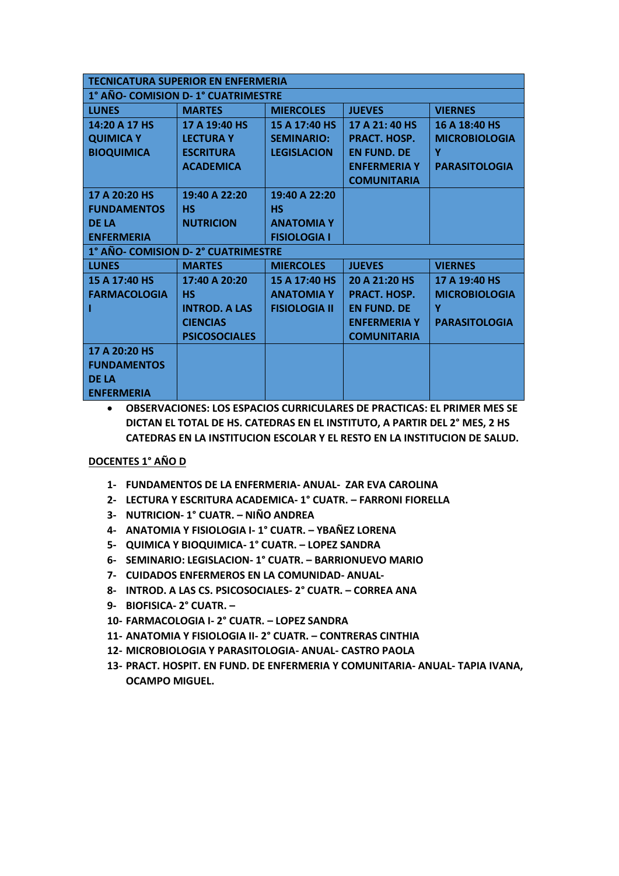|                     | <b>TECNICATURA SUPERIOR EN ENFERMERIA</b> |                      |                     |                      |  |  |
|---------------------|-------------------------------------------|----------------------|---------------------|----------------------|--|--|
|                     | 1° AÑO- COMISION D-1° CUATRIMESTRE        |                      |                     |                      |  |  |
| <b>LUNES</b>        | <b>MARTES</b>                             | <b>MIERCOLES</b>     | <b>JUEVES</b>       | <b>VIERNES</b>       |  |  |
| 14:20 A 17 HS       | 17 A 19:40 HS                             | 15 A 17:40 HS        | 17 A 21: 40 HS      | 16 A 18:40 HS        |  |  |
| <b>QUIMICA Y</b>    | <b>LECTURA Y</b>                          | <b>SEMINARIO:</b>    | PRACT. HOSP.        | <b>MICROBIOLOGIA</b> |  |  |
| <b>BIOQUIMICA</b>   | <b>ESCRITURA</b>                          | <b>LEGISLACION</b>   | <b>EN FUND, DE</b>  | Y                    |  |  |
|                     | <b>ACADEMICA</b>                          |                      | <b>ENFERMERIA Y</b> | <b>PARASITOLOGIA</b> |  |  |
|                     |                                           |                      | <b>COMUNITARIA</b>  |                      |  |  |
| 17 A 20:20 HS       | 19:40 A 22:20                             | 19:40 A 22:20        |                     |                      |  |  |
| <b>FUNDAMENTOS</b>  | <b>HS</b>                                 | <b>HS</b>            |                     |                      |  |  |
| <b>DE LA</b>        | <b>NUTRICION</b>                          | <b>ANATOMIA Y</b>    |                     |                      |  |  |
| <b>ENFERMERIA</b>   |                                           | <b>FISIOLOGIA I</b>  |                     |                      |  |  |
|                     | 1° AÑO- COMISION D-2° CUATRIMESTRE        |                      |                     |                      |  |  |
| <b>LUNES</b>        | <b>MARTES</b>                             | <b>MIERCOLES</b>     | <b>JUEVES</b>       | <b>VIERNES</b>       |  |  |
| 15 A 17:40 HS       | 17:40 A 20:20                             | 15 A 17:40 HS        | 20 A 21:20 HS       | 17 A 19:40 HS        |  |  |
| <b>FARMACOLOGIA</b> | <b>HS</b>                                 | <b>ANATOMIAY</b>     | PRACT. HOSP.        | <b>MICROBIOLOGIA</b> |  |  |
|                     | <b>INTROD, A LAS</b>                      | <b>FISIOLOGIA II</b> | <b>EN FUND, DE</b>  | Y                    |  |  |
|                     | <b>CIENCIAS</b>                           |                      | <b>ENFERMERIA Y</b> | <b>PARASITOLOGIA</b> |  |  |
|                     | <b>PSICOSOCIALES</b>                      |                      | <b>COMUNITARIA</b>  |                      |  |  |
| 17 A 20:20 HS       |                                           |                      |                     |                      |  |  |
| <b>FUNDAMENTOS</b>  |                                           |                      |                     |                      |  |  |
| <b>DE LA</b>        |                                           |                      |                     |                      |  |  |
| <b>ENFERMERIA</b>   |                                           |                      |                     |                      |  |  |

## **DOCENTES 1° AÑO D**

- **1- FUNDAMENTOS DE LA ENFERMERIA- ANUAL- ZAR EVA CAROLINA**
- **2- LECTURA Y ESCRITURA ACADEMICA- 1° CUATR. – FARRONI FIORELLA**
- **3- NUTRICION- 1° CUATR. – NIÑO ANDREA**
- **4- ANATOMIA Y FISIOLOGIA I- 1° CUATR. – YBAÑEZ LORENA**
- **5- QUIMICA Y BIOQUIMICA- 1° CUATR. – LOPEZ SANDRA**
- **6- SEMINARIO: LEGISLACION- 1° CUATR. – BARRIONUEVO MARIO**
- **7- CUIDADOS ENFERMEROS EN LA COMUNIDAD- ANUAL-**
- **8- INTROD. A LAS CS. PSICOSOCIALES- 2° CUATR. – CORREA ANA**
- **9- BIOFISICA- 2° CUATR. –**
- **10- FARMACOLOGIA I- 2° CUATR. – LOPEZ SANDRA**
- **11- ANATOMIA Y FISIOLOGIA II- 2° CUATR. – CONTRERAS CINTHIA**
- **12- MICROBIOLOGIA Y PARASITOLOGIA- ANUAL- CASTRO PAOLA**
- **13- PRACT. HOSPIT. EN FUND. DE ENFERMERIA Y COMUNITARIA- ANUAL- TAPIA IVANA, OCAMPO MIGUEL.**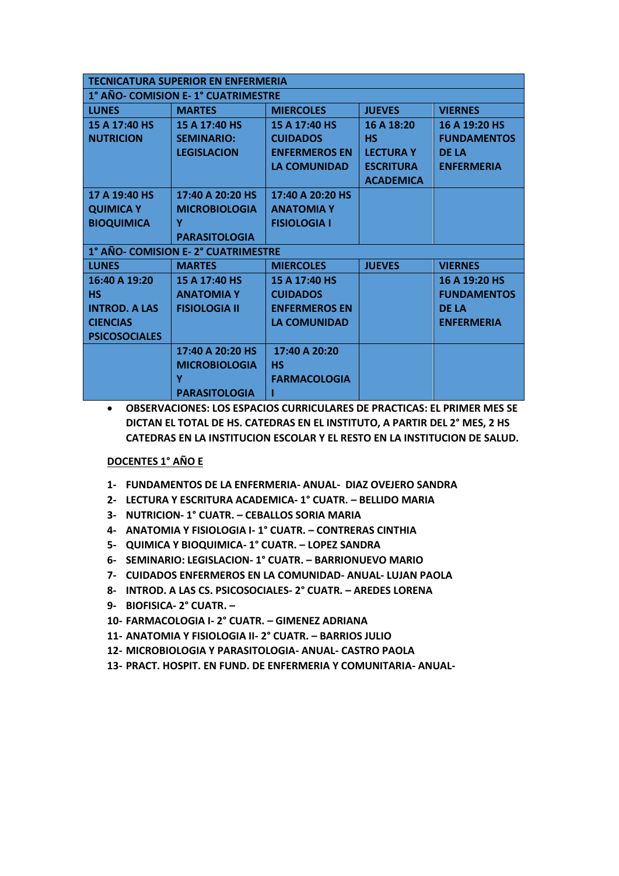|                      | <b>TECNICATURA SUPERIOR EN ENFERMERIA</b> |                      |                  |                    |  |  |
|----------------------|-------------------------------------------|----------------------|------------------|--------------------|--|--|
|                      | 1° AÑO- COMISION E-1° CUATRIMESTRE        |                      |                  |                    |  |  |
| <b>LUNES</b>         | <b>MARTES</b>                             | <b>MIERCOLES</b>     | <b>JUEVES</b>    | <b>VIERNES</b>     |  |  |
| 15 A 17:40 HS        | 15 A 17:40 HS                             | 15 A 17:40 HS        | 16 A 18:20       | 16 A 19:20 HS      |  |  |
| <b>NUTRICION</b>     | <b>SEMINARIO:</b>                         | <b>CUIDADOS</b>      | <b>HS</b>        | <b>FUNDAMENTOS</b> |  |  |
|                      | <b>LEGISLACION</b>                        | <b>ENFERMEROS EN</b> | <b>LECTURA Y</b> | <b>DE LA</b>       |  |  |
|                      |                                           | <b>LA COMUNIDAD</b>  | <b>ESCRITURA</b> | <b>ENFERMERIA</b>  |  |  |
|                      |                                           |                      | <b>ACADEMICA</b> |                    |  |  |
| 17 A 19:40 HS        | 17:40 A 20:20 HS                          | 17:40 A 20:20 HS     |                  |                    |  |  |
| <b>QUIMICA Y</b>     | <b>MICROBIOLOGIA</b>                      | <b>ANATOMIAY</b>     |                  |                    |  |  |
| <b>BIOQUIMICA</b>    | Y                                         | <b>FISIOLOGIA I</b>  |                  |                    |  |  |
|                      | <b>PARASITOLOGIA</b>                      |                      |                  |                    |  |  |
|                      | 1° AÑO- COMISION E-2° CUATRIMESTRE        |                      |                  |                    |  |  |
| <b>LUNES</b>         | <b>MARTES</b>                             | <b>MIERCOLES</b>     | <b>JUEVES</b>    | <b>VIERNES</b>     |  |  |
| 16:40 A 19:20        | 15 A 17:40 HS                             | 15 A 17:40 HS        |                  | 16 A 19:20 HS      |  |  |
| <b>HS</b>            | <b>ANATOMIA Y</b>                         | <b>CUIDADOS</b>      |                  | <b>FUNDAMENTOS</b> |  |  |
| <b>INTROD, A LAS</b> | <b>FISIOLOGIA II</b>                      | <b>ENFERMEROS EN</b> |                  | <b>DE LA</b>       |  |  |
| <b>CIENCIAS</b>      |                                           | <b>LA COMUNIDAD</b>  |                  | <b>ENFERMERIA</b>  |  |  |
| <b>PSICOSOCIALES</b> |                                           |                      |                  |                    |  |  |
|                      | 17:40 A 20:20 HS                          | 17:40 A 20:20        |                  |                    |  |  |
|                      | <b>MICROBIOLOGIA</b>                      | <b>HS</b>            |                  |                    |  |  |
|                      | Y                                         | <b>FARMACOLOGIA</b>  |                  |                    |  |  |
|                      | <b>PARASITOLOGIA</b>                      |                      |                  |                    |  |  |

## **DOCENTES 1° AÑO E**

- **1- FUNDAMENTOS DE LA ENFERMERIA- ANUAL- DIAZ OVEJERO SANDRA**
- **2- LECTURA Y ESCRITURA ACADEMICA- 1° CUATR. – BELLIDO MARIA**
- **3- NUTRICION- 1° CUATR. – CEBALLOS SORIA MARIA**
- **4- ANATOMIA Y FISIOLOGIA I- 1° CUATR. – CONTRERAS CINTHIA**
- **5- QUIMICA Y BIOQUIMICA- 1° CUATR. – LOPEZ SANDRA**
- **6- SEMINARIO: LEGISLACION- 1° CUATR. – BARRIONUEVO MARIO**
- **7- CUIDADOS ENFERMEROS EN LA COMUNIDAD- ANUAL- LUJAN PAOLA**
- **8- INTROD. A LAS CS. PSICOSOCIALES- 2° CUATR. – AREDES LORENA**
- **9- BIOFISICA- 2° CUATR. –**
- **10- FARMACOLOGIA I- 2° CUATR. – GIMENEZ ADRIANA**
- **11- ANATOMIA Y FISIOLOGIA II- 2° CUATR. – BARRIOS JULIO**
- **12- MICROBIOLOGIA Y PARASITOLOGIA- ANUAL- CASTRO PAOLA**
- **13- PRACT. HOSPIT. EN FUND. DE ENFERMERIA Y COMUNITARIA- ANUAL-**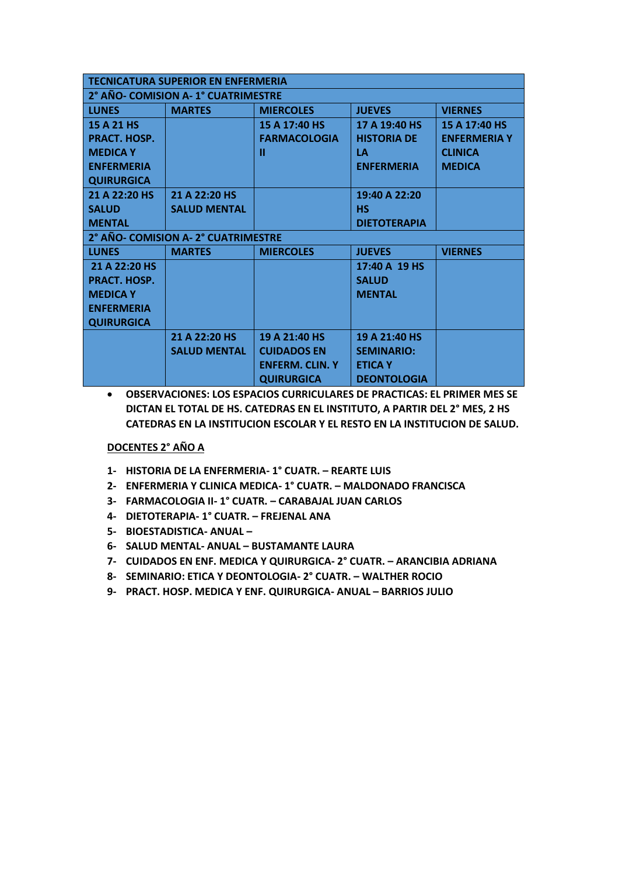| <b>TECNICATURA SUPERIOR EN ENFERMERIA</b> |                                     |                        |                     |                     |  |  |
|-------------------------------------------|-------------------------------------|------------------------|---------------------|---------------------|--|--|
|                                           | 2° AÑO- COMISION A- 1° CUATRIMESTRE |                        |                     |                     |  |  |
| <b>LUNES</b>                              | <b>MARTES</b>                       | <b>MIERCOLES</b>       | <b>JUEVES</b>       | <b>VIERNES</b>      |  |  |
| 15 A 21 HS                                |                                     | 15 A 17:40 HS          | 17 A 19:40 HS       | 15 A 17:40 HS       |  |  |
| PRACT. HOSP.                              |                                     | <b>FARMACOLOGIA</b>    | <b>HISTORIA DE</b>  | <b>ENFERMERIA Y</b> |  |  |
| <b>MEDICA Y</b>                           |                                     | п                      | LА                  | <b>CLINICA</b>      |  |  |
| <b>ENFERMERIA</b>                         |                                     |                        | <b>ENFERMERIA</b>   | <b>MEDICA</b>       |  |  |
| <b>QUIRURGICA</b>                         |                                     |                        |                     |                     |  |  |
| 21 A 22:20 HS                             | 21 A 22:20 HS                       |                        | 19:40 A 22:20       |                     |  |  |
| <b>SALUD</b>                              | <b>SALUD MENTAL</b>                 |                        | <b>HS</b>           |                     |  |  |
| <b>MENTAL</b>                             |                                     |                        | <b>DIETOTERAPIA</b> |                     |  |  |
|                                           | 2° AÑO- COMISION A-2° CUATRIMESTRE  |                        |                     |                     |  |  |
| <b>LUNES</b>                              | <b>MARTES</b>                       | <b>MIERCOLES</b>       | <b>JUEVES</b>       | <b>VIERNES</b>      |  |  |
| 21 A 22:20 HS                             |                                     |                        | 17:40 A 19 HS       |                     |  |  |
| PRACT. HOSP.                              |                                     |                        | <b>SALUD</b>        |                     |  |  |
| <b>MEDICA Y</b>                           |                                     |                        | <b>MENTAL</b>       |                     |  |  |
| <b>ENFERMERIA</b>                         |                                     |                        |                     |                     |  |  |
| <b>QUIRURGICA</b>                         |                                     |                        |                     |                     |  |  |
|                                           | 21 A 22:20 HS                       | 19 A 21:40 HS          | 19 A 21:40 HS       |                     |  |  |
|                                           | <b>SALUD MENTAL</b>                 | <b>CUIDADOS EN</b>     | <b>SEMINARIO:</b>   |                     |  |  |
|                                           |                                     | <b>ENFERM. CLIN. Y</b> | <b>ETICA Y</b>      |                     |  |  |
|                                           |                                     | <b>QUIRURGICA</b>      | <b>DEONTOLOGIA</b>  |                     |  |  |

## **DOCENTES 2° AÑO A**

- **1- HISTORIA DE LA ENFERMERIA- 1° CUATR. – REARTE LUIS**
- **2- ENFERMERIA Y CLINICA MEDICA- 1° CUATR. – MALDONADO FRANCISCA**
- **3- FARMACOLOGIA II- 1° CUATR. – CARABAJAL JUAN CARLOS**
- **4- DIETOTERAPIA- 1° CUATR. – FREJENAL ANA**
- **5- BIOESTADISTICA- ANUAL –**
- **6- SALUD MENTAL- ANUAL – BUSTAMANTE LAURA**
- **7- CUIDADOS EN ENF. MEDICA Y QUIRURGICA- 2° CUATR. – ARANCIBIA ADRIANA**
- **8- SEMINARIO: ETICA Y DEONTOLOGIA- 2° CUATR. – WALTHER ROCIO**
- **9- PRACT. HOSP. MEDICA Y ENF. QUIRURGICA- ANUAL – BARRIOS JULIO**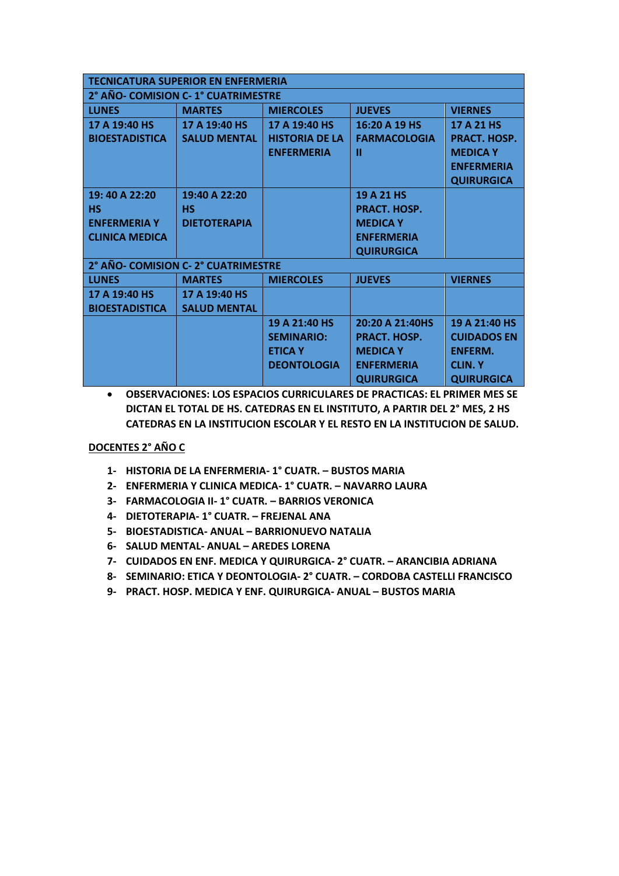| <b>TECNICATURA SUPERIOR EN ENFERMERIA</b> |                     |                       |                     |                    |  |
|-------------------------------------------|---------------------|-----------------------|---------------------|--------------------|--|
| 2° AÑO- COMISION C- 1° CUATRIMESTRE       |                     |                       |                     |                    |  |
| <b>LUNES</b>                              | <b>MARTES</b>       | <b>MIERCOLES</b>      | <b>JUEVES</b>       | <b>VIERNES</b>     |  |
| 17 A 19:40 HS                             | 17 A 19:40 HS       | 17 A 19:40 HS         | 16:20 A 19 HS       | 17 A 21 HS         |  |
| <b>BIOESTADISTICA</b>                     | <b>SALUD MENTAL</b> | <b>HISTORIA DE LA</b> | <b>FARMACOLOGIA</b> | PRACT. HOSP.       |  |
|                                           |                     | <b>ENFERMERIA</b>     | Ш                   | <b>MEDICA Y</b>    |  |
|                                           |                     |                       |                     | <b>ENFERMERIA</b>  |  |
|                                           |                     |                       |                     | <b>QUIRURGICA</b>  |  |
| 19:40 A 22:20                             | 19:40 A 22:20       |                       | 19 A 21 HS          |                    |  |
| НS                                        | НS                  |                       | PRACT. HOSP.        |                    |  |
| <b>ENFERMERIA Y</b>                       | <b>DIETOTERAPIA</b> |                       | <b>MEDICA Y</b>     |                    |  |
| <b>CLINICA MEDICA</b>                     |                     |                       | <b>ENFERMERIA</b>   |                    |  |
|                                           |                     |                       | <b>QUIRURGICA</b>   |                    |  |
| 2° AÑO- COMISION C-2° CUATRIMESTRE        |                     |                       |                     |                    |  |
| <b>LUNES</b>                              | <b>MARTES</b>       | <b>MIERCOLES</b>      | <b>JUEVES</b>       | <b>VIERNES</b>     |  |
| 17 A 19:40 HS                             | 17 A 19:40 HS       |                       |                     |                    |  |
| <b>BIOESTADISTICA</b>                     | <b>SALUD MENTAL</b> |                       |                     |                    |  |
|                                           |                     | 19 A 21:40 HS         | 20:20 A 21:40HS     | 19 A 21:40 HS      |  |
|                                           |                     | <b>SEMINARIO:</b>     | PRACT. HOSP.        | <b>CUIDADOS EN</b> |  |
|                                           |                     | <b>ETICA Y</b>        | <b>MEDICA Y</b>     | <b>ENFERM.</b>     |  |
|                                           |                     | <b>DEONTOLOGIA</b>    | <b>ENFERMERIA</b>   | <b>CLIN.Y</b>      |  |
|                                           |                     |                       | <b>QUIRURGICA</b>   | <b>QUIRURGICA</b>  |  |

## **DOCENTES 2° AÑO C**

- **1- HISTORIA DE LA ENFERMERIA- 1° CUATR. – BUSTOS MARIA**
- **2- ENFERMERIA Y CLINICA MEDICA- 1° CUATR. – NAVARRO LAURA**
- **3- FARMACOLOGIA II- 1° CUATR. – BARRIOS VERONICA**
- **4- DIETOTERAPIA- 1° CUATR. – FREJENAL ANA**
- **5- BIOESTADISTICA- ANUAL – BARRIONUEVO NATALIA**
- **6- SALUD MENTAL- ANUAL – AREDES LORENA**
- **7- CUIDADOS EN ENF. MEDICA Y QUIRURGICA- 2° CUATR. – ARANCIBIA ADRIANA**
- **8- SEMINARIO: ETICA Y DEONTOLOGIA- 2° CUATR. – CORDOBA CASTELLI FRANCISCO**
- **9- PRACT. HOSP. MEDICA Y ENF. QUIRURGICA- ANUAL – BUSTOS MARIA**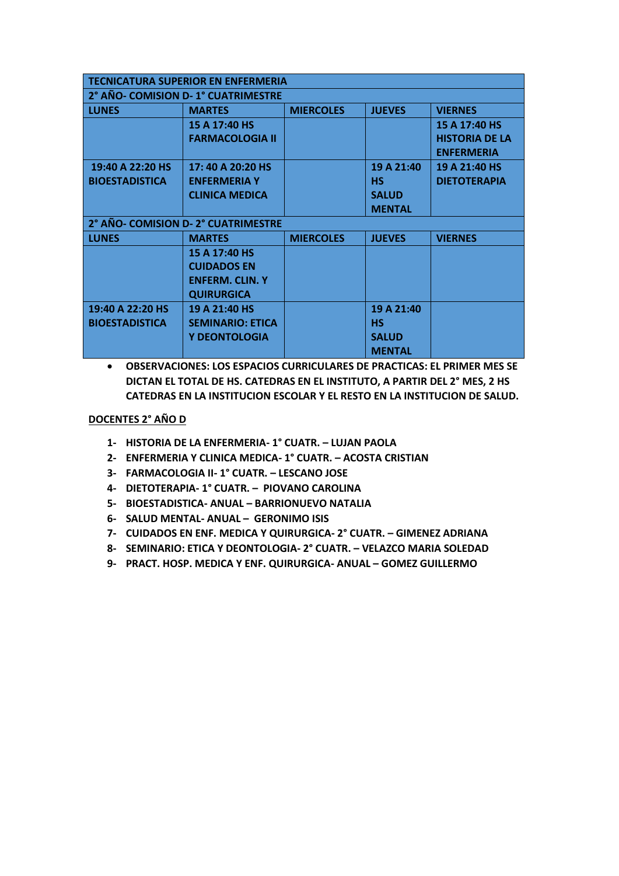|                       | <b>TECNICATURA SUPERIOR EN ENFERMERIA</b> |                  |               |                       |
|-----------------------|-------------------------------------------|------------------|---------------|-----------------------|
|                       | 2° AÑO- COMISION D- 1° CUATRIMESTRE       |                  |               |                       |
| <b>LUNES</b>          | <b>MARTES</b>                             | <b>MIERCOLES</b> | <b>JUEVES</b> | <b>VIERNES</b>        |
|                       | 15 A 17:40 HS                             |                  |               | 15 A 17:40 HS         |
|                       | <b>FARMACOLOGIA II</b>                    |                  |               | <b>HISTORIA DE LA</b> |
|                       |                                           |                  |               | <b>ENFERMERIA</b>     |
| 19:40 A 22:20 HS      | 17: 40 A 20:20 HS                         |                  | 19 A 21:40    | 19 A 21:40 HS         |
| <b>BIOESTADISTICA</b> | <b>ENFERMERIA Y</b>                       |                  | <b>HS</b>     | <b>DIETOTERAPIA</b>   |
|                       | <b>CLINICA MEDICA</b>                     |                  | <b>SALUD</b>  |                       |
|                       |                                           |                  | <b>MENTAL</b> |                       |
|                       | 2° AÑO- COMISION D-2° CUATRIMESTRE        |                  |               |                       |
| <b>LUNES</b>          | <b>MARTES</b>                             | <b>MIERCOLES</b> | <b>JUEVES</b> | <b>VIERNES</b>        |
|                       | 15 A 17:40 HS                             |                  |               |                       |
|                       | <b>CUIDADOS EN</b>                        |                  |               |                       |
|                       | <b>ENFERM. CLIN. Y</b>                    |                  |               |                       |
|                       | <b>QUIRURGICA</b>                         |                  |               |                       |
| 19:40 A 22:20 HS      | 19 A 21:40 HS                             |                  | 19 A 21:40    |                       |
| <b>BIOESTADISTICA</b> | <b>SEMINARIO: ETICA</b>                   |                  | <b>HS</b>     |                       |
|                       | <b>Y DEONTOLOGIA</b>                      |                  | <b>SALUD</b>  |                       |
|                       |                                           |                  | <b>MENTAL</b> |                       |

# **DOCENTES 2° AÑO D**

- **1- HISTORIA DE LA ENFERMERIA- 1° CUATR. – LUJAN PAOLA**
- **2- ENFERMERIA Y CLINICA MEDICA- 1° CUATR. – ACOSTA CRISTIAN**
- **3- FARMACOLOGIA II- 1° CUATR. – LESCANO JOSE**
- **4- DIETOTERAPIA- 1° CUATR. – PIOVANO CAROLINA**
- **5- BIOESTADISTICA- ANUAL – BARRIONUEVO NATALIA**
- **6- SALUD MENTAL- ANUAL – GERONIMO ISIS**
- **7- CUIDADOS EN ENF. MEDICA Y QUIRURGICA- 2° CUATR. – GIMENEZ ADRIANA**
- **8- SEMINARIO: ETICA Y DEONTOLOGIA- 2° CUATR. – VELAZCO MARIA SOLEDAD**
- **9- PRACT. HOSP. MEDICA Y ENF. QUIRURGICA- ANUAL – GOMEZ GUILLERMO**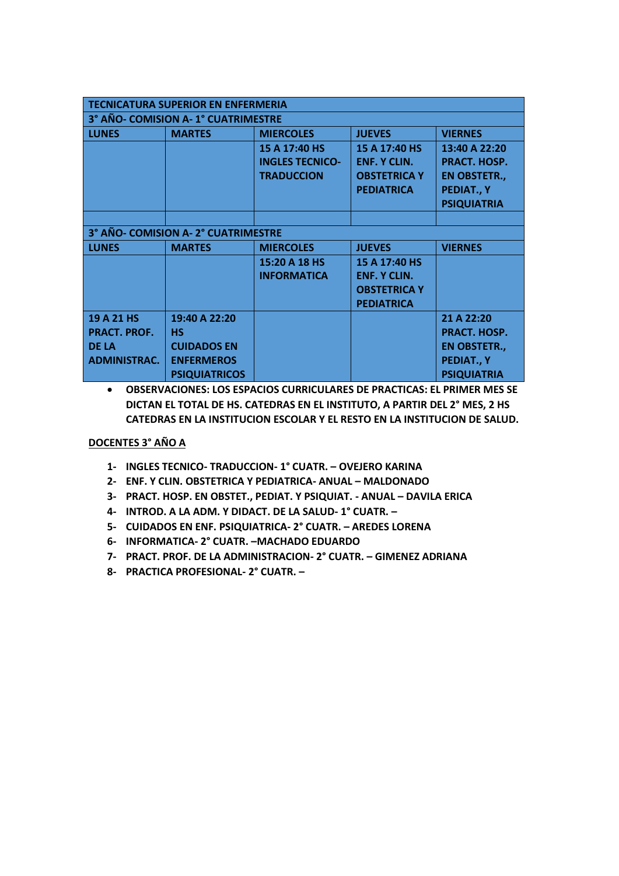| <b>TECNICATURA SUPERIOR EN ENFERMERIA</b> |                                    |                        |                     |                     |  |
|-------------------------------------------|------------------------------------|------------------------|---------------------|---------------------|--|
|                                           | 3° AÑO- COMISION A-1° CUATRIMESTRE |                        |                     |                     |  |
| <b>LUNES</b>                              | <b>MARTES</b>                      | <b>MIERCOLES</b>       | <b>JUEVES</b>       | <b>VIERNES</b>      |  |
|                                           |                                    | 15 A 17:40 HS          | 15 A 17:40 HS       | 13:40 A 22:20       |  |
|                                           |                                    | <b>INGLES TECNICO-</b> | <b>ENF. Y CLIN.</b> | PRACT. HOSP.        |  |
|                                           |                                    | <b>TRADUCCION</b>      | <b>OBSTETRICA Y</b> | <b>EN OBSTETR.,</b> |  |
|                                           |                                    |                        | <b>PEDIATRICA</b>   | PEDIAT., Y          |  |
|                                           |                                    |                        |                     | <b>PSIQUIATRIA</b>  |  |
|                                           |                                    |                        |                     |                     |  |
|                                           | 3° AÑO- COMISION A-2° CUATRIMESTRE |                        |                     |                     |  |
| <b>LUNES</b>                              | <b>MARTES</b>                      | <b>MIERCOLES</b>       | <b>JUEVES</b>       | <b>VIERNES</b>      |  |
|                                           |                                    | 15:20 A 18 HS          | 15 A 17:40 HS       |                     |  |
|                                           |                                    | <b>INFORMATICA</b>     | <b>ENF. Y CLIN.</b> |                     |  |
|                                           |                                    |                        | <b>OBSTETRICA Y</b> |                     |  |
|                                           |                                    |                        | <b>PEDIATRICA</b>   |                     |  |
| 19 A 21 HS                                | 19:40 A 22:20                      |                        |                     | 21 A 22:20          |  |
| <b>PRACT. PROF.</b>                       | <b>HS</b>                          |                        |                     | PRACT. HOSP.        |  |
| <b>DF LA</b>                              | <b>CUIDADOS EN</b>                 |                        |                     | <b>EN OBSTETR.,</b> |  |
| <b>ADMINISTRAC.</b>                       | <b>ENFERMEROS</b>                  |                        |                     | PEDIAT., Y          |  |
|                                           | <b>PSIQUIATRICOS</b>               |                        |                     | <b>PSIQUIATRIA</b>  |  |

# **DOCENTES 3° AÑO A**

- **1- INGLES TECNICO- TRADUCCION- 1° CUATR. – OVEJERO KARINA**
- **2- ENF. Y CLIN. OBSTETRICA Y PEDIATRICA- ANUAL – MALDONADO**
- **3- PRACT. HOSP. EN OBSTET., PEDIAT. Y PSIQUIAT. - ANUAL – DAVILA ERICA**
- **4- INTROD. A LA ADM. Y DIDACT. DE LA SALUD- 1° CUATR. –**
- **5- CUIDADOS EN ENF. PSIQUIATRICA- 2° CUATR. – AREDES LORENA**
- **6- INFORMATICA- 2° CUATR. –MACHADO EDUARDO**
- **7- PRACT. PROF. DE LA ADMINISTRACION- 2° CUATR. – GIMENEZ ADRIANA**
- **8- PRACTICA PROFESIONAL- 2° CUATR. –**